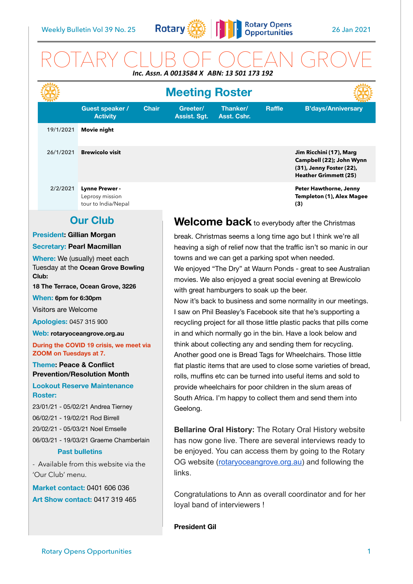

# ROTARY CLUB OF OCEAN GROVE *Inc. Assn. A 0013584 X ABN: 13 501 173 192*

| L. ASSII. A VU13J04 A  ADIV. 13 JU1 173 132                                                                                                                                                                                                                                                                                                                                                                                                                                                                           |                  |                                                                                                                                              |                                                                                                                                                                                                                                                                                                                                                                                                                                                                                                                                                                                                                                                                                                                                                                                                                                                                                                                     |                                                                                                                                                                                                                                                          |                         |               |                                                                                                                 |
|-----------------------------------------------------------------------------------------------------------------------------------------------------------------------------------------------------------------------------------------------------------------------------------------------------------------------------------------------------------------------------------------------------------------------------------------------------------------------------------------------------------------------|------------------|----------------------------------------------------------------------------------------------------------------------------------------------|---------------------------------------------------------------------------------------------------------------------------------------------------------------------------------------------------------------------------------------------------------------------------------------------------------------------------------------------------------------------------------------------------------------------------------------------------------------------------------------------------------------------------------------------------------------------------------------------------------------------------------------------------------------------------------------------------------------------------------------------------------------------------------------------------------------------------------------------------------------------------------------------------------------------|----------------------------------------------------------------------------------------------------------------------------------------------------------------------------------------------------------------------------------------------------------|-------------------------|---------------|-----------------------------------------------------------------------------------------------------------------|
|                                                                                                                                                                                                                                                                                                                                                                                                                                                                                                                       |                  |                                                                                                                                              |                                                                                                                                                                                                                                                                                                                                                                                                                                                                                                                                                                                                                                                                                                                                                                                                                                                                                                                     | <b>Meeting Roster</b>                                                                                                                                                                                                                                    |                         |               |                                                                                                                 |
|                                                                                                                                                                                                                                                                                                                                                                                                                                                                                                                       |                  | <b>Guest speaker /</b><br><b>Activity</b>                                                                                                    | <b>Chair</b>                                                                                                                                                                                                                                                                                                                                                                                                                                                                                                                                                                                                                                                                                                                                                                                                                                                                                                        | Greeter/<br><b>Assist. Sgt.</b>                                                                                                                                                                                                                          | Thanker/<br>Asst. Cshr. | <b>Raffle</b> | <b>B'days/Anniversary</b>                                                                                       |
|                                                                                                                                                                                                                                                                                                                                                                                                                                                                                                                       | 19/1/2021        | Movie night                                                                                                                                  |                                                                                                                                                                                                                                                                                                                                                                                                                                                                                                                                                                                                                                                                                                                                                                                                                                                                                                                     |                                                                                                                                                                                                                                                          |                         |               |                                                                                                                 |
|                                                                                                                                                                                                                                                                                                                                                                                                                                                                                                                       | 26/1/2021        | <b>Brewicolo visit</b>                                                                                                                       |                                                                                                                                                                                                                                                                                                                                                                                                                                                                                                                                                                                                                                                                                                                                                                                                                                                                                                                     |                                                                                                                                                                                                                                                          |                         |               | Jim Ricchini (17), Marg<br>Campbell (22); John Wynn<br>(31), Jenny Foster (22),<br><b>Heather Grimmett (25)</b> |
|                                                                                                                                                                                                                                                                                                                                                                                                                                                                                                                       | 2/2/2021         | <b>Lynne Prewer -</b><br>Leprosy mission<br>tour to India/Nepal                                                                              |                                                                                                                                                                                                                                                                                                                                                                                                                                                                                                                                                                                                                                                                                                                                                                                                                                                                                                                     |                                                                                                                                                                                                                                                          |                         |               | Peter Hawthorne, Jenny<br>Templeton (1), Alex Magee<br>(3)                                                      |
| <b>Our Club</b>                                                                                                                                                                                                                                                                                                                                                                                                                                                                                                       |                  |                                                                                                                                              |                                                                                                                                                                                                                                                                                                                                                                                                                                                                                                                                                                                                                                                                                                                                                                                                                                                                                                                     | Welcome back to everybody after the Christmas                                                                                                                                                                                                            |                         |               |                                                                                                                 |
| <b>President: Gillian Morgan</b>                                                                                                                                                                                                                                                                                                                                                                                                                                                                                      |                  |                                                                                                                                              |                                                                                                                                                                                                                                                                                                                                                                                                                                                                                                                                                                                                                                                                                                                                                                                                                                                                                                                     | break. Christmas seems a long time ago but I think we're all                                                                                                                                                                                             |                         |               |                                                                                                                 |
| <b>Secretary: Pearl Macmillan</b>                                                                                                                                                                                                                                                                                                                                                                                                                                                                                     |                  |                                                                                                                                              |                                                                                                                                                                                                                                                                                                                                                                                                                                                                                                                                                                                                                                                                                                                                                                                                                                                                                                                     | heaving a sigh of relief now that the traffic isn't so manic in our                                                                                                                                                                                      |                         |               |                                                                                                                 |
| Where: We (usually) meet each<br>Tuesday at the Ocean Grove Bowling<br>Club:<br>18 The Terrace, Ocean Grove, 3226<br>When: 6pm for 6:30pm<br>Visitors are Welcome<br><b>Apologies: 0457 315 900</b><br>Web: rotaryoceangrove.org.au<br>During the COVID 19 crisis, we meet via<br>ZOOM on Tuesdays at 7.<br><b>Theme: Peace &amp; Conflict</b><br><b>Prevention/Resolution Month</b><br><b>Lookout Reserve Maintenance</b><br><b>Roster:</b><br>23/01/21 - 05/02/21 Andrea Tierney<br>06/02/21 - 19/02/21 Rod Birrell |                  |                                                                                                                                              | towns and we can get a parking spot when needed.<br>We enjoyed "The Dry" at Waurn Ponds - great to see Australian<br>movies. We also enjoyed a great social evening at Brewicolo<br>with great hamburgers to soak up the beer.<br>Now it's back to business and some normality in our meetings.<br>I saw on Phil Beasley's Facebook site that he's supporting a<br>recycling project for all those little plastic packs that pills come<br>in and which normally go in the bin. Have a look below and<br>think about collecting any and sending them for recycling.<br>Another good one is Bread Tags for Wheelchairs. Those little<br>flat plastic items that are used to close some varieties of bread,<br>rolls, muffins etc can be turned into useful items and sold to<br>provide wheelchairs for poor children in the slum areas of<br>South Africa. I'm happy to collect them and send them into<br>Geelong. |                                                                                                                                                                                                                                                          |                         |               |                                                                                                                 |
|                                                                                                                                                                                                                                                                                                                                                                                                                                                                                                                       | 'Our Club' menu. | 20/02/21 - 05/03/21 Noel Emselle<br>06/03/21 - 19/03/21 Graeme Chamberlain<br><b>Past bulletins</b><br>- Available from this website via the |                                                                                                                                                                                                                                                                                                                                                                                                                                                                                                                                                                                                                                                                                                                                                                                                                                                                                                                     | <b>Bellarine Oral History: The Rotary Oral History website</b><br>has now gone live. There are several interviews ready to<br>be enjoyed. You can access them by going to the Rotary<br>OG website (rotaryoceangrove.org.au) and following the<br>links. |                         |               |                                                                                                                 |
| <b>Market contact: 0401 606 036</b><br><b>Art Show contact: 0417 319 465</b>                                                                                                                                                                                                                                                                                                                                                                                                                                          |                  |                                                                                                                                              |                                                                                                                                                                                                                                                                                                                                                                                                                                                                                                                                                                                                                                                                                                                                                                                                                                                                                                                     | Congratulations to Ann as overall coordinator and for her<br>loyal band of interviewers !                                                                                                                                                                |                         |               |                                                                                                                 |
|                                                                                                                                                                                                                                                                                                                                                                                                                                                                                                                       |                  |                                                                                                                                              |                                                                                                                                                                                                                                                                                                                                                                                                                                                                                                                                                                                                                                                                                                                                                                                                                                                                                                                     |                                                                                                                                                                                                                                                          |                         |               |                                                                                                                 |

**President Gil**